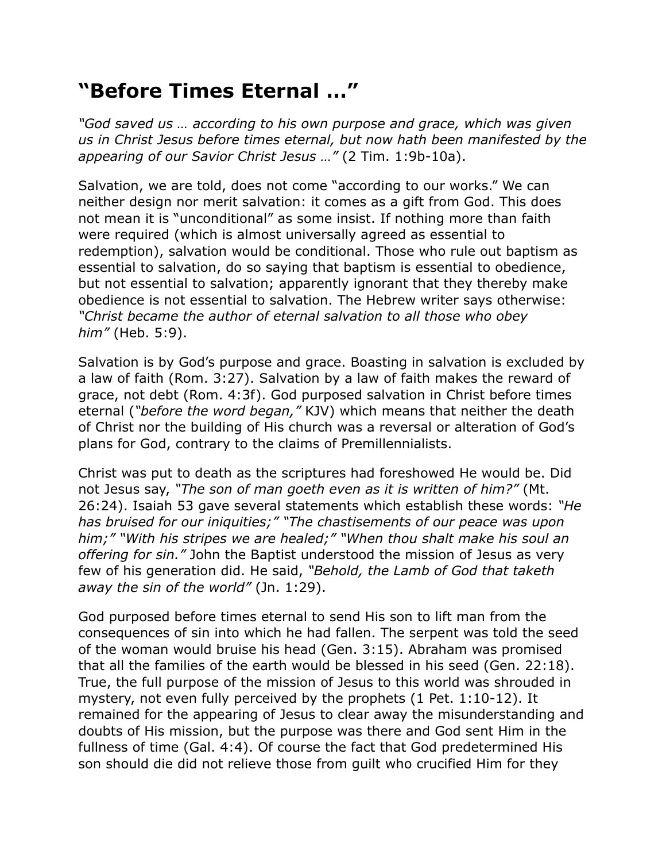## **"Before Times Eternal …"**

*"God saved us … according to his own purpose and grace, which was given us in Christ Jesus before times eternal, but now hath been manifested by the appearing of our Savior Christ Jesus …"* (2 Tim. 1:9b-10a).

Salvation, we are told, does not come "according to our works." We can neither design nor merit salvation: it comes as a gift from God. This does not mean it is "unconditional" as some insist. If nothing more than faith were required (which is almost universally agreed as essential to redemption), salvation would be conditional. Those who rule out baptism as essential to salvation, do so saying that baptism is essential to obedience, but not essential to salvation; apparently ignorant that they thereby make obedience is not essential to salvation. The Hebrew writer says otherwise: *"Christ became the author of eternal salvation to all those who obey him"* (Heb. 5:9).

Salvation is by God's purpose and grace. Boasting in salvation is excluded by a law of faith (Rom. 3:27). Salvation by a law of faith makes the reward of grace, not debt (Rom. 4:3f). God purposed salvation in Christ before times eternal (*"before the word began,"* KJV) which means that neither the death of Christ nor the building of His church was a reversal or alteration of God's plans for God, contrary to the claims of Premillennialists.

Christ was put to death as the scriptures had foreshowed He would be. Did not Jesus say, *"The son of man goeth even as it is written of him?"* (Mt. 26:24). Isaiah 53 gave several statements which establish these words: *"He has bruised for our iniquities;" "The chastisements of our peace was upon him;" "With his stripes we are healed;" "When thou shalt make his soul an offering for sin."* John the Baptist understood the mission of Jesus as very few of his generation did. He said, *"Behold, the Lamb of God that taketh away the sin of the world"* (Jn. 1:29).

God purposed before times eternal to send His son to lift man from the consequences of sin into which he had fallen. The serpent was told the seed of the woman would bruise his head (Gen. 3:15). Abraham was promised that all the families of the earth would be blessed in his seed (Gen. 22:18). True, the full purpose of the mission of Jesus to this world was shrouded in mystery, not even fully perceived by the prophets (1 Pet. 1:10-12). It remained for the appearing of Jesus to clear away the misunderstanding and doubts of His mission, but the purpose was there and God sent Him in the fullness of time (Gal. 4:4). Of course the fact that God predetermined His son should die did not relieve those from guilt who crucified Him for they